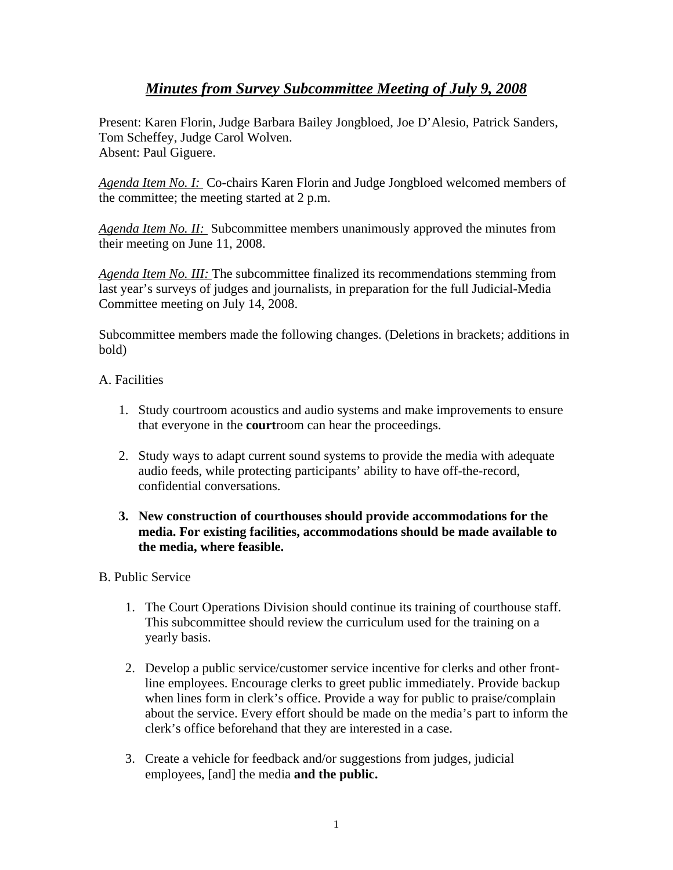# *Minutes from Survey Subcommittee Meeting of July 9, 2008*

Present: Karen Florin, Judge Barbara Bailey Jongbloed, Joe D'Alesio, Patrick Sanders, Tom Scheffey, Judge Carol Wolven. Absent: Paul Giguere.

*Agenda Item No. I:* Co-chairs Karen Florin and Judge Jongbloed welcomed members of the committee; the meeting started at 2 p.m.

*Agenda Item No. II:* Subcommittee members unanimously approved the minutes from their meeting on June 11, 2008.

*Agenda Item No. III:* The subcommittee finalized its recommendations stemming from last year's surveys of judges and journalists, in preparation for the full Judicial-Media Committee meeting on July 14, 2008.

Subcommittee members made the following changes. (Deletions in brackets; additions in bold)

### A. Facilities

- 1. Study courtroom acoustics and audio systems and make improvements to ensure that everyone in the **court**room can hear the proceedings.
- 2. Study ways to adapt current sound systems to provide the media with adequate audio feeds, while protecting participants' ability to have off-the-record, confidential conversations.

### **3. New construction of courthouses should provide accommodations for the media. For existing facilities, accommodations should be made available to the media, where feasible.**

## B. Public Service

- 1. The Court Operations Division should continue its training of courthouse staff. This subcommittee should review the curriculum used for the training on a yearly basis.
- 2. Develop a public service/customer service incentive for clerks and other frontline employees. Encourage clerks to greet public immediately. Provide backup when lines form in clerk's office. Provide a way for public to praise/complain about the service. Every effort should be made on the media's part to inform the clerk's office beforehand that they are interested in a case.
- 3. Create a vehicle for feedback and/or suggestions from judges, judicial employees, [and] the media **and the public.**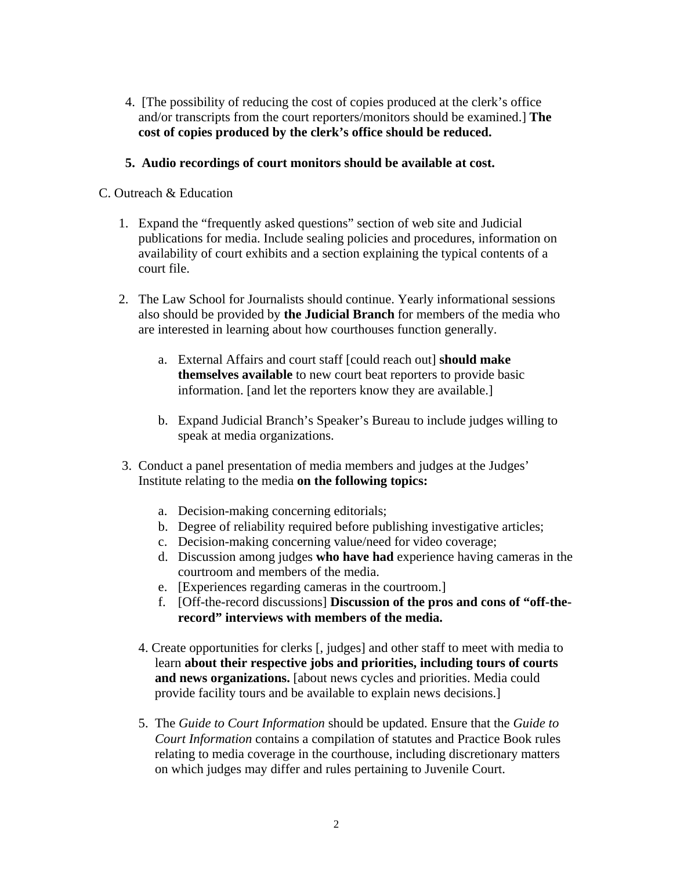- 4. [The possibility of reducing the cost of copies produced at the clerk's office and/or transcripts from the court reporters/monitors should be examined.] **The cost of copies produced by the clerk's office should be reduced.**
- **5. Audio recordings of court monitors should be available at cost.**

## C. Outreach & Education

- 1. Expand the "frequently asked questions" section of web site and Judicial publications for media. Include sealing policies and procedures, information on availability of court exhibits and a section explaining the typical contents of a court file.
- 2. The Law School for Journalists should continue. Yearly informational sessions also should be provided by **the Judicial Branch** for members of the media who are interested in learning about how courthouses function generally.
	- a. External Affairs and court staff [could reach out] **should make themselves available** to new court beat reporters to provide basic information. [and let the reporters know they are available.]
	- b. Expand Judicial Branch's Speaker's Bureau to include judges willing to speak at media organizations.
- 3. Conduct a panel presentation of media members and judges at the Judges' Institute relating to the media **on the following topics:** 
	- a. Decision-making concerning editorials;
	- b. Degree of reliability required before publishing investigative articles;
	- c. Decision-making concerning value/need for video coverage;
	- d. Discussion among judges **who have had** experience having cameras in the courtroom and members of the media.
	- e. [Experiences regarding cameras in the courtroom.]
	- f. [Off-the-record discussions] **Discussion of the pros and cons of "off-therecord" interviews with members of the media.**
	- 4. Create opportunities for clerks [, judges] and other staff to meet with media to learn **about their respective jobs and priorities, including tours of courts and news organizations.** [about news cycles and priorities. Media could provide facility tours and be available to explain news decisions.]
	- 5. The *Guide to Court Information* should be updated. Ensure that the *Guide to Court Information* contains a compilation of statutes and Practice Book rules relating to media coverage in the courthouse, including discretionary matters on which judges may differ and rules pertaining to Juvenile Court.